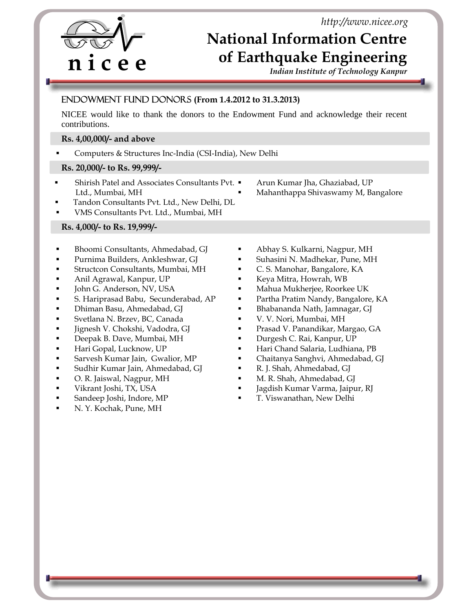*http://www.nicee.org*

## **National Information Centre of Earthquake Engineering**

*Indian Institute of Technology Kanpur* 

# ֠ l **n i c e e**

### Endowment Fund Donors **(From 1.4.2012 to 31.3.2013)**

NICEE would like to thank the donors to the Endowment Fund and acknowledge their recent contributions.

#### **Rs. 4,00,000/- and above**

Computers & Structures Inc-India (CSI-India), New Delhi

#### **Rs. 20,000/- to Rs. 99,999/-**

- Shirish Patel and Associates Consultants Pvt. Ltd., Mumbai, MH
- Arun Kumar Jha, Ghaziabad, UP
- Mahanthappa Shivaswamy M, Bangalore
- Tandon Consultants Pvt. Ltd., New Delhi, DL
- VMS Consultants Pvt. Ltd., Mumbai, MH

#### **Rs. 4,000/- to Rs. 19,999/-**

- Bhoomi Consultants, Ahmedabad, GJ
- Purnima Builders, Ankleshwar, GJ
- Structcon Consultants, Mumbai, MH
- **Anil Agrawal, Kanpur, UP**
- **John G. Anderson, NV, USA**
- S. Hariprasad Babu, Secunderabad, AP
- Dhiman Basu, Ahmedabad, GJ
- Svetlana N. Brzev, BC, Canada
- Jignesh V. Chokshi, Vadodra, GJ
- **Deepak B. Dave, Mumbai, MH**
- **Hari Gopal, Lucknow, UP**
- Sarvesh Kumar Jain, Gwalior, MP
- Sudhir Kumar Jain, Ahmedabad, GJ
- O. R. Jaiswal, Nagpur, MH
- Vikrant Joshi, TX, USA
- Sandeep Joshi, Indore, MP
- N. Y. Kochak, Pune, MH
- Abhay S. Kulkarni, Nagpur, MH
- Suhasini N. Madhekar, Pune, MH
- C. S. Manohar, Bangalore, KA
- Keya Mitra, Howrah, WB
- Mahua Mukherjee, Roorkee UK
- Partha Pratim Nandy, Bangalore, KA
- Bhabananda Nath, Jamnagar, GJ
- V. V. Nori, Mumbai, MH
- Prasad V. Panandikar, Margao, GA
- Durgesh C. Rai, Kanpur, UP
- Hari Chand Salaria, Ludhiana, PB
- Chaitanya Sanghvi, Ahmedabad, GJ
- R. J. Shah, Ahmedabad, GJ
- M. R. Shah, Ahmedabad, GJ
- Jagdish Kumar Varma, Jaipur, RJ
- T. Viswanathan, New Delhi